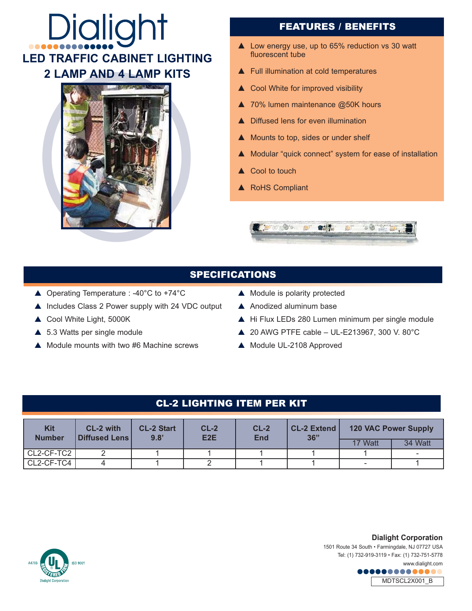# **Dialight LED TRAFFIC CABINET LIGHTING 2 LAMP AND 4 LAMP KITS**



# FEATURES / BENEFITS

- $\triangle$  Low energy use, up to 65% reduction vs 30 watt fluorescent tube
- $\blacktriangle$  Full illumination at cold temperatures
- $\triangle$  Cool White for improved visibility
- $\triangle$  70% lumen maintenance @50K hours
- **A** Diffused lens for even illumination
- $\triangle$  Mounts to top, sides or under shelf
- ▲ Modular "quick connect" system for ease of installation
- $\triangle$  Cool to touch
- A RoHS Compliant



#### SPECIFICATIONS

- ▲ Operating Temperature : -40°C to +74°C
- $\triangle$  Includes Class 2 Power supply with 24 VDC output
- ▲ Cool White Light, 5000K
- $\triangle$  5.3 Watts per single module
- $\triangle$  Module mounts with two #6 Machine screws
- $\blacktriangle$  Module is polarity protected
- $\blacktriangle$  Anodized aluminum base
- $\triangle$  Hi Flux LEDs 280 Lumen minimum per single module
- $\triangle$  20 AWG PTFE cable UL-E213967, 300 V. 80°C
- ▲ Module UL-2108 Approved

# CL-2 LIGHTING ITEM PER KIT

| <b>Kit</b><br><b>Number</b> | CL-2 with<br><b>Diffused Lens</b> L | <b>CL-2 Start</b><br>9.8' | $CL-2$<br>E <sub>2</sub> E | $CL-2$<br>End | <b>CL-2 Extend</b><br>36" | 120 VAC Power Supply |         |
|-----------------------------|-------------------------------------|---------------------------|----------------------------|---------------|---------------------------|----------------------|---------|
|                             |                                     |                           |                            |               |                           | 17 Watt              | 34 Watt |
| l CL2-CF-TC2 l              |                                     |                           |                            |               |                           |                      |         |
| │ CL2-CF-TC4 │              |                                     |                           |                            |               |                           |                      |         |



**Dialight Corporation** 

1501 Route 34 South • Farmingdale, NJ 07727 USA Tel: (1) 732-919-3119 • Fax: (1) 732-751-5778